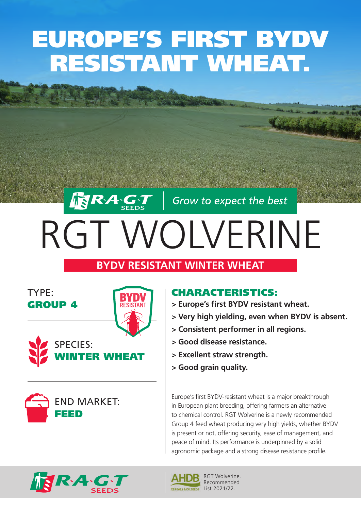# EUROPE'S FIRST BYDV RESISTANT WHEAT.

# $\sum_{S\in E}$ RGT WOLVERINE

# **BYDV RESISTANT WINTER WHEAT**

### TYPE: GROUP 4





IRRA



## CHARACTERISTICS:

Grow to expect the best

- **> Europe's first BYDV resistant wheat.**
- **> Very high yielding, even when BYDV is absent.**
- **> Consistent performer in all regions.**
- **> Good disease resistance.**
- **> Excellent straw strength.**
- **> Good grain quality.**

Europe's first BYDV-resistant wheat is a major breakthrough in European plant breeding, offering farmers an alternative to chemical control. RGT Wolverine is a newly recommended Group 4 feed wheat producing very high yields, whether BYDV is present or not, offering security, ease of management, and peace of mind. Its performance is underpinned by a solid agronomic package and a strong disease resistance profile.





RGT Wolverine. Recommended